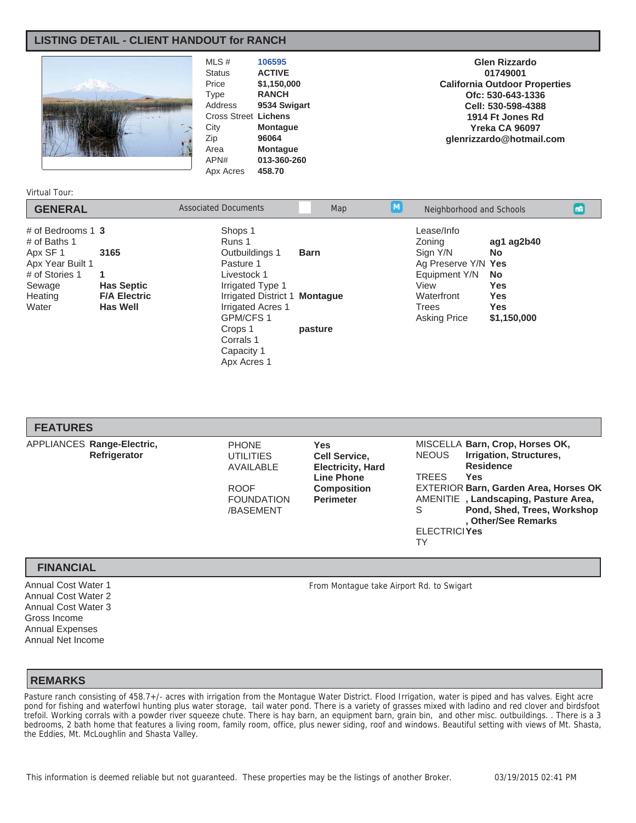# **LISTING DETAIL - CLIENT HANDOUT for RANCH**



MLS # **106595** Status **ACTIVE** Price **\$1,150,000** Type **RANCH**<br>Address **9534 Sw** 9534 Swigart Cross Street **Lichens** City **Montague** Zip **96064** Area **Montague**<br>
APN# 013-360-26 013-360-260 Apx Acres **458.70**

**Glen Rizzardo 01749001 California Outdoor Properties Ofc: 530-643-1336 Cell: 530-598-4388 1914 Ft Jones Rd Yreka CA 96097 glenrizzardo@hotmail.com**

#### Virtual Tour:

| <b>GENERAL</b>                                                                                                       |                                                                          | <b>Associated Documents</b>                                                                                                  | Map                                                                                                                                                                                   | M                                                                   | Neighborhood and Schools |  | mR |
|----------------------------------------------------------------------------------------------------------------------|--------------------------------------------------------------------------|------------------------------------------------------------------------------------------------------------------------------|---------------------------------------------------------------------------------------------------------------------------------------------------------------------------------------|---------------------------------------------------------------------|--------------------------|--|----|
| # of Bedrooms $1\,3$<br># of Baths 1<br>Apx SF 1<br>Apx Year Built 1<br># of Stories 1<br>Sewage<br>Heating<br>Water | 3165<br>1<br><b>Has Septic</b><br><b>F/A Electric</b><br><b>Has Well</b> | Shops 1<br>Runs 1<br>Outbuildings 1<br>Pasture 1<br>Livestock 1<br>Irrigated Type 1<br><b>Irrigated Acres 1</b><br>GPM/CFS 1 | Lease/Info<br>Zoning<br>Sian Y/N<br><b>Barn</b><br>Ag Preserve Y/N Yes<br>Equipment Y/N<br>View<br>Irrigated District 1 Montaque<br>Waterfront<br><b>Trees</b><br><b>Asking Price</b> | ag1 ag2b40<br><b>No</b><br>No.<br>Yes<br>Yes<br>Yes.<br>\$1,150,000 |                          |  |    |
|                                                                                                                      |                                                                          | Crops 1<br>Corrals 1<br>Capacity 1<br>Apx Acres 1                                                                            | pasture                                                                                                                                                                               |                                                                     |                          |  |    |

| <b>FEATURES</b>                            |                                                                                                |                                                                                                                               |                                                                                                                                                                                                                                                                                                       |
|--------------------------------------------|------------------------------------------------------------------------------------------------|-------------------------------------------------------------------------------------------------------------------------------|-------------------------------------------------------------------------------------------------------------------------------------------------------------------------------------------------------------------------------------------------------------------------------------------------------|
| APPLIANCES Range-Electric,<br>Refrigerator | <b>PHONE</b><br><b>UTILITIES</b><br>AVAILABLE<br><b>ROOF</b><br><b>FOUNDATION</b><br>/BASEMENT | <b>Yes</b><br><b>Cell Service,</b><br><b>Electricity, Hard</b><br><b>Line Phone</b><br><b>Composition</b><br><b>Perimeter</b> | MISCELLA Barn, Crop, Horses OK,<br>Irrigation, Structures,<br><b>NEOUS</b><br><b>Residence</b><br><b>TREES</b><br>Yes<br><b>EXTERIOR Barn, Garden Area, Horses OK</b><br>AMENITIE, Landscaping, Pasture Area,<br>Pond, Shed, Trees, Workshop<br>S<br>. Other/See Remarks<br><b>FLECTRICIYes</b><br>TY |

### **FINANCIAL**

Annual Cost Water 1 Annual Cost Water 2 Annual Cost Water 3 Gross Income Annual Expenses Annual Net Income

From Montague take Airport Rd. to Swigart

### **REMARKS**

Pasture ranch consisting of 458.7+/- acres with irrigation from the Montague Water District. Flood Irrigation, water is piped and has valves. Eight acre pond for fishing and waterfowl hunting plus water storage, tail water pond. There is a variety of grasses mixed with ladino and red clover and birdsfoot trefoil. Working corrals with a powder river squeeze chute. There is hay barn, an equipment barn, grain bin, and other misc. outbuildings. . There is a 3 bedrooms, 2 bath home that features a living room, family room, office, plus newer siding, roof and windows. Beautiful setting with views of Mt. Shasta, the Eddies, Mt. McLoughlin and Shasta Valley.